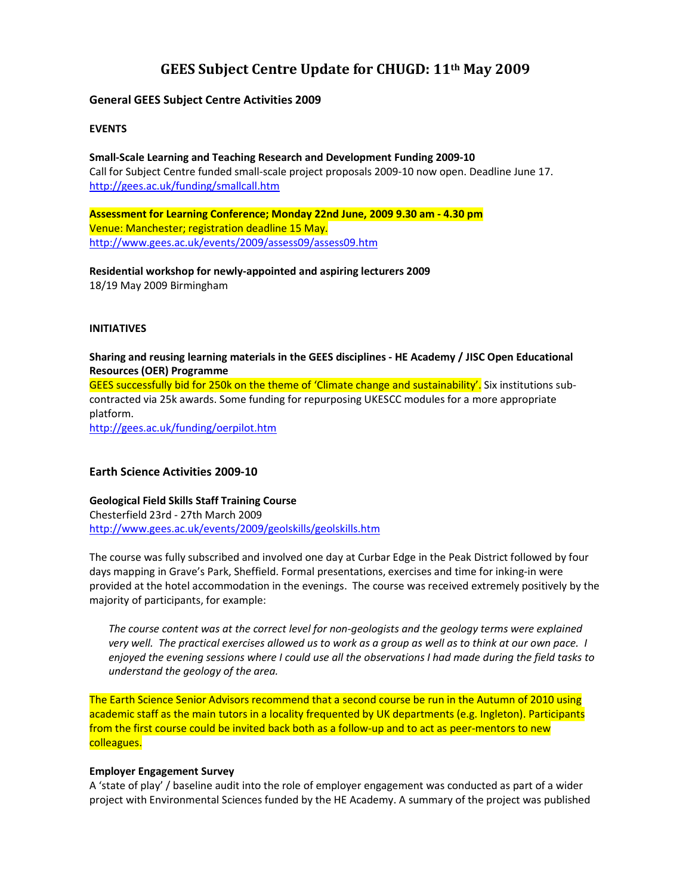# GEES Subject Centre Update for CHUGD: 11th May 2009

# General GEES Subject Centre Activities 2009

# **EVENTS**

Small-Scale Learning and Teaching Research and Development Funding 2009-10 Call for Subject Centre funded small-scale project proposals 2009-10 now open. Deadline June 17. http://gees.ac.uk/funding/smallcall.htm

Assessment for Learning Conference; Monday 22nd June, 2009 9.30 am - 4.30 pm Venue: Manchester; registration deadline 15 May. http://www.gees.ac.uk/events/2009/assess09/assess09.htm

Residential workshop for newly-appointed and aspiring lecturers 2009 18/19 May 2009 Birmingham

## INITIATIVES

Sharing and reusing learning materials in the GEES disciplines - HE Academy / JISC Open Educational Resources (OER) Programme GEES successfully bid for 250k on the theme of 'Climate change and sustainability'. Six institutions subcontracted via 25k awards. Some funding for repurposing UKESCC modules for a more appropriate platform. http://gees.ac.uk/funding/oerpilot.htm

# Earth Science Activities 2009-10

Geological Field Skills Staff Training Course Chesterfield 23rd - 27th March 2009 http://www.gees.ac.uk/events/2009/geolskills/geolskills.htm

The course was fully subscribed and involved one day at Curbar Edge in the Peak District followed by four days mapping in Grave's Park, Sheffield. Formal presentations, exercises and time for inking-in were provided at the hotel accommodation in the evenings. The course was received extremely positively by the majority of participants, for example:

The course content was at the correct level for non-geologists and the geology terms were explained very well. The practical exercises allowed us to work as a group as well as to think at our own pace. I enjoyed the evening sessions where I could use all the observations I had made during the field tasks to understand the geology of the area.

The Earth Science Senior Advisors recommend that a second course be run in the Autumn of 2010 using academic staff as the main tutors in a locality frequented by UK departments (e.g. Ingleton). Participants from the first course could be invited back both as a follow-up and to act as peer-mentors to new colleagues.

## Employer Engagement Survey

A 'state of play' / baseline audit into the role of employer engagement was conducted as part of a wider project with Environmental Sciences funded by the HE Academy. A summary of the project was published